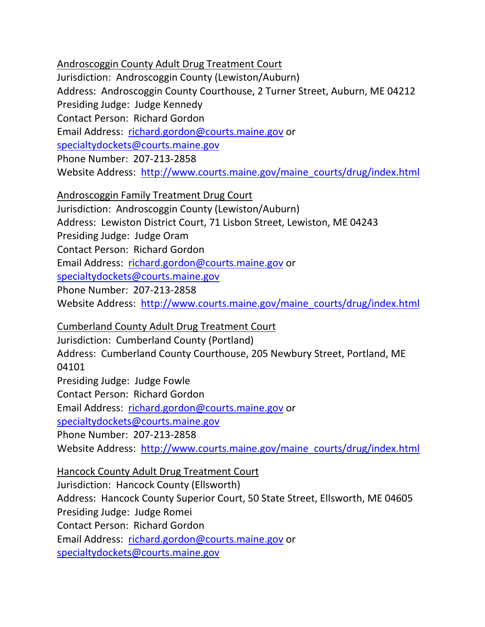## Androscoggin County Adult Drug Treatment Court

Jurisdiction: Androscoggin County (Lewiston/Auburn) Address: Androscoggin County Courthouse, 2 Turner Street, Auburn, ME 04212 Presiding Judge: Judge Kennedy Contact Person: Richard Gordon Email Address: [richard.gordon@courts.maine.gov](mailto:richard.gordon@courts.maine.gov) or [specialtydockets@courts.maine.gov](mailto:specialtydockets@courts.maine.gov) Phone Number: 207-213-2858 Website Address: [http://www.courts.maine.gov/maine\\_courts/drug/index.html](http://www.courts.maine.gov/maine_courts/drug/index.html)

## Androscoggin Family Treatment Drug Court

Jurisdiction: Androscoggin County (Lewiston/Auburn) Address: Lewiston District Court, 71 Lisbon Street, Lewiston, ME 04243 Presiding Judge: Judge Oram Contact Person: Richard Gordon Email Address: [richard.gordon@courts.maine.gov](mailto:richard.gordon@courts.maine.gov) or [specialtydockets@courts.maine.gov](mailto:specialtydockets@courts.maine.gov) Phone Number: 207-213-2858 Website Address: [http://www.courts.maine.gov/maine\\_courts/drug/index.html](http://www.courts.maine.gov/maine_courts/drug/index.html)

Cumberland County Adult Drug Treatment Court Jurisdiction: Cumberland County (Portland) Address: Cumberland County Courthouse, 205 Newbury Street, Portland, ME 04101 Presiding Judge: Judge Fowle Contact Person: Richard Gordon Email Address: [richard.gordon@courts.maine.gov](mailto:richard.gordon@courts.maine.gov) or [specialtydockets@courts.maine.gov](mailto:specialtydockets@courts.maine.gov) Phone Number: 207-213-2858 Website Address: [http://www.courts.maine.gov/maine\\_courts/drug/index.html](http://www.courts.maine.gov/maine_courts/drug/index.html)

Hancock County Adult Drug Treatment Court Jurisdiction: Hancock County (Ellsworth) Address: Hancock County Superior Court, 50 State Street, Ellsworth, ME 04605 Presiding Judge: Judge Romei Contact Person: Richard Gordon Email Address: [richard.gordon@courts.maine.gov](mailto:richard.gordon@courts.maine.gov) or [specialtydockets@courts.maine.gov](mailto:specialtydockets@courts.maine.gov)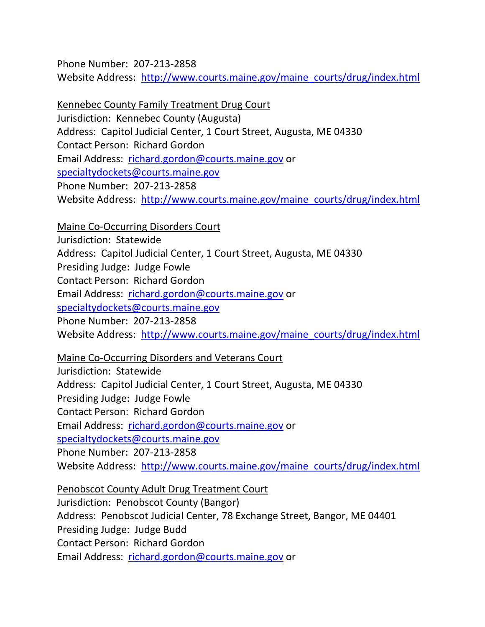Phone Number: 207-213-2858 Website Address: [http://www.courts.maine.gov/maine\\_courts/drug/index.html](http://www.courts.maine.gov/maine_courts/drug/index.html)

Kennebec County Family Treatment Drug Court Jurisdiction: Kennebec County (Augusta) Address: Capitol Judicial Center, 1 Court Street, Augusta, ME 04330 Contact Person: Richard Gordon Email Address: [richard.gordon@courts.maine.gov](mailto:richard.gordon@courts.maine.gov) or [specialtydockets@courts.maine.gov](mailto:specialtydockets@courts.maine.gov) Phone Number: 207-213-2858 Website Address: [http://www.courts.maine.gov/maine\\_courts/drug/index.html](http://www.courts.maine.gov/maine_courts/drug/index.html)

Maine Co-Occurring Disorders Court Jurisdiction: Statewide Address: Capitol Judicial Center, 1 Court Street, Augusta, ME 04330 Presiding Judge: Judge Fowle Contact Person: Richard Gordon Email Address: [richard.gordon@courts.maine.gov](mailto:richard.gordon@courts.maine.gov) or [specialtydockets@courts.maine.gov](mailto:specialtydockets@courts.maine.gov) Phone Number: 207-213-2858 Website Address: [http://www.courts.maine.gov/maine\\_courts/drug/index.html](http://www.courts.maine.gov/maine_courts/drug/index.html)

Maine Co-Occurring Disorders and Veterans Court Jurisdiction: Statewide Address: Capitol Judicial Center, 1 Court Street, Augusta, ME 04330 Presiding Judge: Judge Fowle Contact Person: Richard Gordon Email Address: [richard.gordon@courts.maine.gov](mailto:richard.gordon@courts.maine.gov) or

[specialtydockets@courts.maine.gov](mailto:specialtydockets@courts.maine.gov) Phone Number: 207-213-2858 Website Address: [http://www.courts.maine.gov/maine\\_courts/drug/index.html](http://www.courts.maine.gov/maine_courts/drug/index.html)

Penobscot County Adult Drug Treatment Court Jurisdiction: Penobscot County (Bangor) Address: Penobscot Judicial Center, 78 Exchange Street, Bangor, ME 04401 Presiding Judge: Judge Budd Contact Person: Richard Gordon Email Address: [richard.gordon@courts.maine.gov](mailto:richard.gordon@courts.maine.gov) or